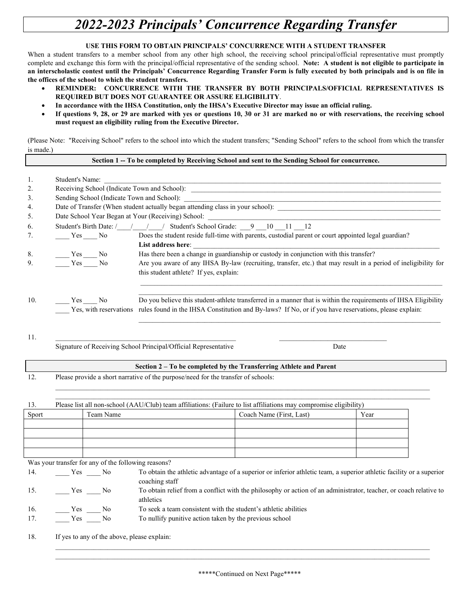## *2022-2023 Principals' Concurrence Regarding Transfer*

## **USE THIS FORM TO OBTAIN PRINCIPALS' CONCURRENCE WITH A STUDENT TRANSFER**

When a student transfers to a member school from any other high school, the receiving school principal/official representative must promptly complete and exchange this form with the principal/official representative of the sending school. **Note: A student is not eligible to participate in an interscholastic contest until the Principals' Concurrence Regarding Transfer Form is fully executed by both principals and is on file in the offices of the school to which the student transfers.** 

- **REMINDER: CONCURRENCE WITH THE TRANSFER BY BOTH PRINCIPALS/OFFICIAL REPRESENTATIVES IS REQUIRED BUT DOES NOT GUARANTEE OR ASSURE ELIGIBILITY**.
- **In accordance with the IHSA Constitution, only the IHSA's Executive Director may issue an official ruling.**
- **If questions 9, 28, or 29 are marked with yes or questions 10, 30 or 31 are marked no or with reservations, the receiving school must request an eligibility ruling from the Executive Director.**

(Please Note: "Receiving School" refers to the school into which the student transfers; "Sending School" refers to the school from which the transfer is made.)

|       |                                                                                                                    |                                                     | Section 1 -- To be completed by Receiving School and sent to the Sending School for concurrence.                                                                                                                                                |                          |      |  |  |  |
|-------|--------------------------------------------------------------------------------------------------------------------|-----------------------------------------------------|-------------------------------------------------------------------------------------------------------------------------------------------------------------------------------------------------------------------------------------------------|--------------------------|------|--|--|--|
| 1.    | Student's Name:                                                                                                    |                                                     |                                                                                                                                                                                                                                                 |                          |      |  |  |  |
| 2.    |                                                                                                                    |                                                     |                                                                                                                                                                                                                                                 |                          |      |  |  |  |
| 3.    | Sending School (Indicate Town and School):                                                                         |                                                     |                                                                                                                                                                                                                                                 |                          |      |  |  |  |
| 4.    |                                                                                                                    |                                                     |                                                                                                                                                                                                                                                 |                          |      |  |  |  |
| 5.    | Date School Year Began at Your (Receiving) School:                                                                 |                                                     |                                                                                                                                                                                                                                                 |                          |      |  |  |  |
| 6.    | Student's Birth Date: / / / / Student's School Grade: 9 10 11 2                                                    |                                                     |                                                                                                                                                                                                                                                 |                          |      |  |  |  |
| 7.    | $Yes$ No                                                                                                           |                                                     | Does the student reside full-time with parents, custodial parent or court appointed legal guardian?                                                                                                                                             |                          |      |  |  |  |
|       |                                                                                                                    |                                                     | List address here:                                                                                                                                                                                                                              |                          |      |  |  |  |
| 8.    | Yes No                                                                                                             |                                                     | Has there been a change in guardianship or custody in conjunction with this transfer?                                                                                                                                                           |                          |      |  |  |  |
| 9.    | $Yes$ No                                                                                                           |                                                     | Are you aware of any IHSA By-law (recruiting, transfer, etc.) that may result in a period of ineligibility for<br>this student athlete? If yes, explain:                                                                                        |                          |      |  |  |  |
| 10.   | Yes No                                                                                                             |                                                     | Do you believe this student-athlete transferred in a manner that is within the requirements of IHSA Eligibility<br>Yes, with reservations rules found in the IHSA Constitution and By-laws? If No, or if you have reservations, please explain: |                          |      |  |  |  |
| 11.   |                                                                                                                    |                                                     | Signature of Receiving School Principal/Official Representative                                                                                                                                                                                 |                          | Date |  |  |  |
|       |                                                                                                                    |                                                     | Section 2 - To be completed by the Transferring Athlete and Parent                                                                                                                                                                              |                          |      |  |  |  |
| 12.   | Please provide a short narrative of the purpose/need for the transfer of schools:                                  |                                                     |                                                                                                                                                                                                                                                 |                          |      |  |  |  |
| 13.   | Please list all non-school (AAU/Club) team affiliations: (Failure to list affiliations may compromise eligibility) |                                                     |                                                                                                                                                                                                                                                 |                          |      |  |  |  |
| Sport |                                                                                                                    | Team Name                                           |                                                                                                                                                                                                                                                 | Coach Name (First, Last) | Year |  |  |  |
|       |                                                                                                                    |                                                     |                                                                                                                                                                                                                                                 |                          |      |  |  |  |
|       |                                                                                                                    | Was your transfer for any of the following reasons? |                                                                                                                                                                                                                                                 |                          |      |  |  |  |
| 14.   | $Yes$ Mo                                                                                                           |                                                     | To obtain the athletic advantage of a superior or inferior athletic team, a superior athletic facility or a superior                                                                                                                            |                          |      |  |  |  |
| 15.   | $Yes$ No                                                                                                           |                                                     | coaching staff<br>To obtain relief from a conflict with the philosophy or action of an administrator, teacher, or coach relative to<br>athletics                                                                                                |                          |      |  |  |  |
| 16.   | $Yes$ Mo                                                                                                           |                                                     | To seek a team consistent with the student's athletic abilities                                                                                                                                                                                 |                          |      |  |  |  |
| 17.   | $Yes \t No$                                                                                                        |                                                     | To nullify punitive action taken by the previous school                                                                                                                                                                                         |                          |      |  |  |  |
| 18.   | If yes to any of the above, please explain:                                                                        |                                                     |                                                                                                                                                                                                                                                 |                          |      |  |  |  |